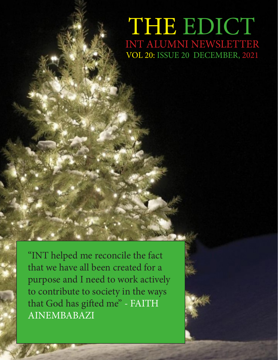### THE EDICT INT ALUMNI NEWSLETTER VOL 20: ISSUE 20 DECEMBER, 2021

"INT helped me reconcile the fact that we have all been created for a purpose and I need to work actively to contribute to society in the ways that God has gifted me" - FAITH AINEMBABAZI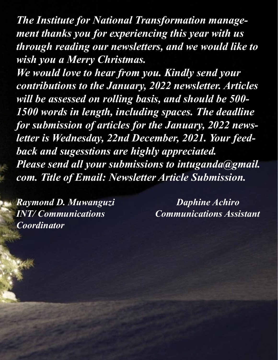*The Institute for National Transformation management thanks you for experiencing this year with us through reading our newsletters, and we would like to wish you a Merry Christmas.* 

*We would love to hear from you. Kindly send your contributions to the January, 2022 newsletter. Articles will be assessed on rolling basis, and should be 500- 1500 words in length, including spaces. The deadline for submission of articles for the January, 2022 newsletter is Wednesday, 22nd December, 2021. Your feedback and sugesstions are highly appreciated. Please send all your submissions to intuganda@gmail. com. Title of Email: Newsletter Article Submission.* 

*Raymond D. Muwanguzi Daphine Achiro Coordinator*

*INT/ Communications Communications Assistant*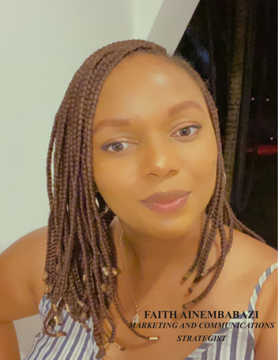**FAITH AINEMBABAZI** *MARKETING AND COMMUNICATIONS STRATEGIST*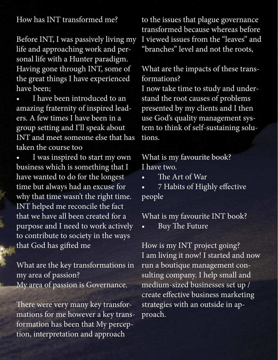#### How has INT transformed me?

Before INT, I was passively living my life and approaching work and personal life with a Hunter paradigm. Having gone through INT, some of the great things I have experienced have been;

I have been introduced to an amazing fraternity of inspired leaders. A few times I have been in a group setting and I'll speak about INT and meet someone else that has taken the course too

I was inspired to start my own business which is something that I have wanted to do for the longest time but always had an excuse for why that time wasn't the right time. INT helped me reconcile the fact that we have all been created for a purpose and I need to work actively to contribute to society in the ways that God has gifted me

What are the key transformations in my area of passion? My area of passion is Governance.

There were very many key transformations for me however a key transformation has been that My perception, interpretation and approach

to the issues that plague governance transformed because whereas before I viewed issues from the "leaves" and "branches" level and not the roots,

What are the impacts of these transformations?

I now take time to study and understand the root causes of problems presented by my clients and I then use God's quality management system to think of self-sustaining solutions.

What is my favourite book? I have two.

The Art of War

• 7 Habits of Highly effective people

What is my favourite INT book?

• Buy The Future

How is my INT project going? I am living it now! I started and now run a boutique management consulting company. I help small and medium-sized businesses set up / create effective business marketing strategies with an outside in approach.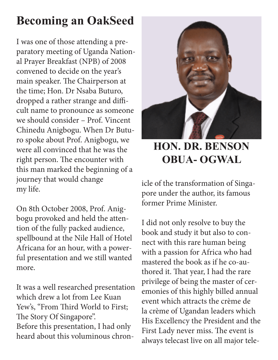## **Becoming an OakSeed**

I was one of those attending a preparatory meeting of Uganda National Prayer Breakfast (NPB) of 2008 convened to decide on the year's main speaker. The Chairperson at the time; Hon. Dr Nsaba Buturo, dropped a rather strange and difficult name to pronounce as someone we should consider – Prof. Vincent Chinedu Anigbogu. When Dr Buturo spoke about Prof. Anigbogu, we were all convinced that he was the right person. The encounter with this man marked the beginning of a journey that would change my life.

On 8th October 2008, Prof. Anigbogu provoked and held the attention of the fully packed audience, spellbound at the Nile Hall of Hotel Africana for an hour, with a powerful presentation and we still wanted more.

It was a well researched presentation which drew a lot from Lee Kuan Yew's, "From Third World to First; The Story Of Singapore". Before this presentation, I had only heard about this voluminous chron-



#### **HON. DR. BENSON OBUA- OGWAL**

icle of the transformation of Singapore under the author, its famous former Prime Minister.

I did not only resolve to buy the book and study it but also to connect with this rare human being with a passion for Africa who had mastered the book as if he co-authored it. That year, I had the rare privilege of being the master of ceremonies of this highly billed annual event which attracts the crème de la crème of Ugandan leaders which His Excellency the President and the First Lady never miss. The event is always telecast live on all major tele-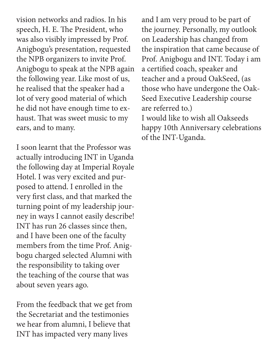vision networks and radios. In his speech, H. E. The President, who was also visibly impressed by Prof. Anigbogu's presentation, requested the NPB organizers to invite Prof. Anigbogu to speak at the NPB again the following year. Like most of us, he realised that the speaker had a lot of very good material of which he did not have enough time to exhaust. That was sweet music to my ears, and to many.

I soon learnt that the Professor was actually introducing INT in Uganda the following day at Imperial Royale Hotel. I was very excited and purposed to attend. I enrolled in the very first class, and that marked the turning point of my leadership journey in ways I cannot easily describe! INT has run 26 classes since then, and I have been one of the faculty members from the time Prof. Anigbogu charged selected Alumni with the responsibility to taking over the teaching of the course that was about seven years ago.

From the feedback that we get from the Secretariat and the testimonies we hear from alumni, I believe that INT has impacted very many lives

and I am very proud to be part of the journey. Personally, my outlook on Leadership has changed from the inspiration that came because of Prof. Anigbogu and INT. Today i am a certified coach, speaker and teacher and a proud OakSeed, (as those who have undergone the Oak-Seed Executive Leadership course are referred to.) I would like to wish all Oakseeds happy 10th Anniversary celebrations of the INT-Uganda.